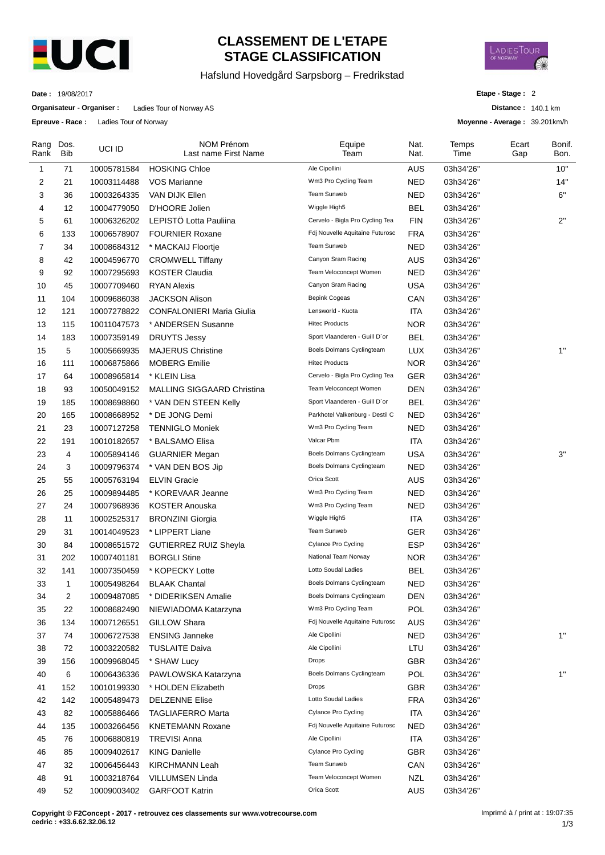

## **CLASSEMENT DE L'ETAPE STAGE CLASSIFICATION**

## Hafslund Hovedgård Sarpsborg – Fredrikstad



**Date :** 19/08/2017

**Organisateur - Organiser :** Ladies Tour of Norway AS

**Epreuve - Race :** Ladies Tour of Norway

| Etape - Stage: 2   |  |
|--------------------|--|
| Distance: 140.1 km |  |

**Moyenne - Average :** 39.201km/h

| Rang<br>Rank | Dos.<br>Bib | UCI ID      | NOM Prénom<br>Last name First Name | Equipe<br>Team                  | Nat.<br>Nat. | Temps<br>Time | Ecart<br>Gap | Bonif.<br>Bon. |
|--------------|-------------|-------------|------------------------------------|---------------------------------|--------------|---------------|--------------|----------------|
| 1            | 71          | 10005781584 | <b>HOSKING Chloe</b>               | Ale Cipollini                   | <b>AUS</b>   | 03h34'26"     |              | 10"            |
| 2            | 21          | 10003114488 | VOS Marianne                       | Wm3 Pro Cycling Team            | NED          | 03h34'26"     |              | 14"            |
| 3            | 36          | 10003264335 | VAN DIJK Ellen                     | Team Sunweb                     | <b>NED</b>   | 03h34'26"     |              | 6"             |
| 4            | 12          | 10004779050 | D'HOORE Jolien                     | Wiggle High5                    | <b>BEL</b>   | 03h34'26"     |              |                |
| 5            | 61          | 10006326202 | LEPISTÖ Lotta Pauliina             | Cervelo - Bigla Pro Cycling Tea | FIN          | 03h34'26"     |              | 2"             |
| 6            | 133         | 10006578907 | <b>FOURNIER Roxane</b>             | Fdj Nouvelle Aquitaine Futurosc | <b>FRA</b>   | 03h34'26"     |              |                |
| 7            | 34          | 10008684312 | * MACKAIJ Floortje                 | Team Sunweb                     | <b>NED</b>   | 03h34'26"     |              |                |
| 8            | 42          | 10004596770 | <b>CROMWELL Tiffany</b>            | Canyon Sram Racing              | <b>AUS</b>   | 03h34'26"     |              |                |
| 9            | 92          | 10007295693 | <b>KOSTER Claudia</b>              | Team Veloconcept Women          | NED          | 03h34'26"     |              |                |
| 10           | 45          | 10007709460 | <b>RYAN Alexis</b>                 | Canyon Sram Racing              | <b>USA</b>   | 03h34'26"     |              |                |
| 11           | 104         | 10009686038 | <b>JACKSON Alison</b>              | Bepink Cogeas                   | CAN          | 03h34'26"     |              |                |
| 12           | 121         | 10007278822 | <b>CONFALONIERI Maria Giulia</b>   | Lensworld - Kuota               | ITA          | 03h34'26"     |              |                |
| 13           | 115         | 10011047573 | * ANDERSEN Susanne                 | <b>Hitec Products</b>           | <b>NOR</b>   | 03h34'26"     |              |                |
| 14           | 183         | 10007359149 | <b>DRUYTS Jessy</b>                | Sport Vlaanderen - Guill D'or   | <b>BEL</b>   | 03h34'26"     |              |                |
| 15           | 5           | 10005669935 | <b>MAJERUS Christine</b>           | Boels Dolmans Cyclingteam       | <b>LUX</b>   | 03h34'26"     |              | 1"             |
| 16           | 111         | 10006875866 | <b>MOBERG Emilie</b>               | <b>Hitec Products</b>           | <b>NOR</b>   | 03h34'26"     |              |                |
| 17           | 64          | 10008965814 | * KLEIN Lisa                       | Cervelo - Bigla Pro Cycling Tea | <b>GER</b>   | 03h34'26"     |              |                |
| 18           | 93          | 10050049152 | <b>MALLING SIGGAARD Christina</b>  | Team Veloconcept Women          | <b>DEN</b>   | 03h34'26"     |              |                |
| 19           | 185         | 10008698860 | * VAN DEN STEEN Kelly              | Sport Vlaanderen - Guill D'or   | <b>BEL</b>   | 03h34'26"     |              |                |
| 20           | 165         | 10008668952 | * DE JONG Demi                     | Parkhotel Valkenburg - Destil C | <b>NED</b>   | 03h34'26"     |              |                |
| 21           | 23          | 10007127258 | <b>TENNIGLO Moniek</b>             | Wm3 Pro Cycling Team            | NED          | 03h34'26"     |              |                |
| 22           | 191         | 10010182657 | * BALSAMO Elisa                    | Valcar Pbm                      | <b>ITA</b>   | 03h34'26"     |              |                |
| 23           | 4           | 10005894146 | <b>GUARNIER Megan</b>              | Boels Dolmans Cyclingteam       | USA          | 03h34'26"     |              | 3"             |
| 24           | 3           | 10009796374 | * VAN DEN BOS Jip                  | Boels Dolmans Cyclingteam       | NED          | 03h34'26"     |              |                |
| 25           | 55          | 10005763194 | <b>ELVIN Gracie</b>                | Orica Scott                     | <b>AUS</b>   | 03h34'26"     |              |                |
| 26           | 25          | 10009894485 | * KOREVAAR Jeanne                  | Wm3 Pro Cycling Team            | NED          | 03h34'26"     |              |                |
| 27           | 24          | 10007968936 | <b>KOSTER Anouska</b>              | Wm3 Pro Cycling Team            | <b>NED</b>   | 03h34'26"     |              |                |
| 28           | 11          | 10002525317 | <b>BRONZINI Giorgia</b>            | Wiggle High5                    | ITA          | 03h34'26"     |              |                |
| 29           | 31          | 10014049523 | * LIPPERT Liane                    | Team Sunweb                     | GER          | 03h34'26"     |              |                |
| 30           | 84          | 10008651572 | <b>GUTIERREZ RUIZ Sheyla</b>       | Cylance Pro Cycling             | <b>ESP</b>   | 03h34'26"     |              |                |
| 31           | 202         | 10007401181 | <b>BORGLI Stine</b>                | National Team Norway            | <b>NOR</b>   | 03h34'26"     |              |                |
| 32           | 141         | 10007350459 | * KOPECKY Lotte                    | Lotto Soudal Ladies             | BEL          | 03h34'26"     |              |                |
| 33           | 1           | 10005498264 | <b>BLAAK Chantal</b>               | Boels Dolmans Cyclingteam       | NED          | 03h34'26"     |              |                |
| 34           | 2           | 10009487085 | * DIDERIKSEN Amalie                | Boels Dolmans Cyclingteam       | <b>DEN</b>   | 03h34'26"     |              |                |
| 35           | 22          | 10008682490 | NIEWIADOMA Katarzyna               | Wm3 Pro Cycling Team            | POL          | 03h34'26"     |              |                |
| 36           | 134         | 10007126551 | GILLOW Shara                       | Fdj Nouvelle Aquitaine Futurosc | <b>AUS</b>   | 03h34'26"     |              |                |
| 37           | 74          | 10006727538 | <b>ENSING Janneke</b>              | Ale Cipollini                   | <b>NED</b>   | 03h34'26"     |              | 1"             |
| 38           | 72          | 10003220582 | <b>TUSLAITE Daiva</b>              | Ale Cipollini                   | LTU          | 03h34'26"     |              |                |
| 39           | 156         | 10009968045 | * SHAW Lucy                        | Drops                           | <b>GBR</b>   | 03h34'26"     |              |                |
| 40           | 6           | 10006436336 | PAWLOWSKA Katarzyna                | Boels Dolmans Cyclingteam       | POL          | 03h34'26"     |              | 1"             |
| 41           | 152         | 10010199330 | * HOLDEN Elizabeth                 | Drops                           | GBR          | 03h34'26"     |              |                |
| 42           | 142         | 10005489473 | <b>DELZENNE Elise</b>              | Lotto Soudal Ladies             | <b>FRA</b>   | 03h34'26"     |              |                |
| 43           | 82          | 10005886466 | <b>TAGLIAFERRO Marta</b>           | Cylance Pro Cycling             | <b>ITA</b>   | 03h34'26"     |              |                |
| 44           | 135         | 10003266456 | <b>KNETEMANN Roxane</b>            | Fdj Nouvelle Aquitaine Futurosc | <b>NED</b>   | 03h34'26"     |              |                |
| 45           | 76          | 10006880819 | <b>TREVISI Anna</b>                | Ale Cipollini                   | <b>ITA</b>   | 03h34'26"     |              |                |
| 46           | 85          | 10009402617 | <b>KING Danielle</b>               | Cylance Pro Cycling             | <b>GBR</b>   | 03h34'26"     |              |                |
| 47           | 32          | 10006456443 | KIRCHMANN Leah                     | Team Sunweb                     | CAN          | 03h34'26"     |              |                |
| 48           | 91          | 10003218764 | VILLUMSEN Linda                    | Team Veloconcept Women          | <b>NZL</b>   | 03h34'26"     |              |                |
| 49           | 52          | 10009003402 | <b>GARFOOT Katrin</b>              | Orica Scott                     | AUS          | 03h34'26"     |              |                |
|              |             |             |                                    |                                 |              |               |              |                |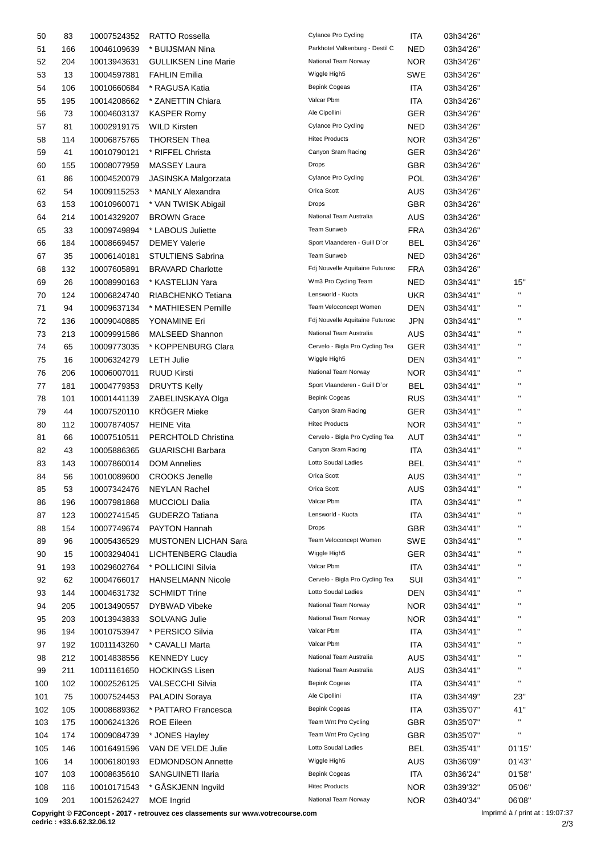| 50  | 83  | 10007524352 | <b>RATTO Rossella</b>                    | <b>Cylance Pro Cycling</b>      | <b>ITA</b> | 03h34'26" |                        |
|-----|-----|-------------|------------------------------------------|---------------------------------|------------|-----------|------------------------|
| 51  | 166 | 10046109639 | * BUIJSMAN Nina                          | Parkhotel Valkenburg - Destil C | <b>NED</b> | 03h34'26" |                        |
| 52  | 204 | 10013943631 | <b>GULLIKSEN Line Marie</b>              | National Team Norway            | <b>NOR</b> | 03h34'26" |                        |
| 53  | 13  | 10004597881 | <b>FAHLIN Emilia</b>                     | Wiggle High5                    | SWE        | 03h34'26" |                        |
| 54  | 106 | 10010660684 | * RAGUSA Katia                           | <b>Bepink Cogeas</b>            | ITA        | 03h34'26" |                        |
| 55  | 195 | 10014208662 | * ZANETTIN Chiara                        | Valcar Pbm                      | ITA        | 03h34'26" |                        |
| 56  | 73  | 10004603137 | <b>KASPER Romy</b>                       | Ale Cipollini                   | <b>GER</b> | 03h34'26" |                        |
| 57  | 81  | 10002919175 | <b>WILD Kirsten</b>                      | Cylance Pro Cycling             | <b>NED</b> | 03h34'26" |                        |
| 58  | 114 | 10006875765 | <b>THORSEN Thea</b>                      | <b>Hitec Products</b>           | <b>NOR</b> | 03h34'26" |                        |
| 59  | 41  | 10010790121 | * RIFFEL Christa                         | Canyon Sram Racing              | <b>GER</b> | 03h34'26" |                        |
|     |     |             |                                          | Drops                           |            |           |                        |
| 60  | 155 | 10008077959 | MASSEY Laura                             | Cylance Pro Cycling             | <b>GBR</b> | 03h34'26" |                        |
| 61  | 86  | 10004520079 | JASINSKA Malgorzata                      |                                 | POL        | 03h34'26" |                        |
| 62  | 54  | 10009115253 | * MANLY Alexandra                        | Orica Scott                     | <b>AUS</b> | 03h34'26" |                        |
| 63  | 153 | 10010960071 | * VAN TWISK Abigail                      | Drops                           | <b>GBR</b> | 03h34'26" |                        |
| 64  | 214 | 10014329207 | <b>BROWN Grace</b>                       | National Team Australia         | <b>AUS</b> | 03h34'26" |                        |
| 65  | 33  | 10009749894 | * LABOUS Juliette                        | Team Sunweb                     | <b>FRA</b> | 03h34'26" |                        |
| 66  | 184 | 10008669457 | <b>DEMEY Valerie</b>                     | Sport Vlaanderen - Guill D'or   | BEL        | 03h34'26" |                        |
| 67  | 35  | 10006140181 | <b>STULTIENS Sabrina</b>                 | Team Sunweb                     | <b>NED</b> | 03h34'26" |                        |
| 68  | 132 | 10007605891 | <b>BRAVARD Charlotte</b>                 | Fdj Nouvelle Aquitaine Futurosc | <b>FRA</b> | 03h34'26" |                        |
| 69  | 26  | 10008990163 | * KASTELIJN Yara                         | Wm3 Pro Cycling Team            | <b>NED</b> | 03h34'41" | 15"                    |
| 70  | 124 | 10006824740 | RIABCHENKO Tetiana                       | Lensworld - Kuota               | <b>UKR</b> | 03h34'41" | $\mathbf{H}$           |
| 71  | 94  | 10009637134 | * MATHIESEN Pernille                     | Team Veloconcept Women          | DEN        | 03h34'41" | $\pmb{\mathsf{H}}$     |
| 72  | 136 | 10009040885 | YONAMINE Eri                             | Fdj Nouvelle Aquitaine Futurosc | <b>JPN</b> | 03h34'41" | $\pmb{\mathsf{H}}$     |
| 73  | 213 | 10009991586 | MALSEED Shannon                          | National Team Australia         | AUS        | 03h34'41" | $\pmb{\mathsf{H}}$     |
| 74  | 65  | 10009773035 | * KOPPENBURG Clara                       | Cervelo - Bigla Pro Cycling Tea | <b>GER</b> | 03h34'41" | $\pmb{\mathsf{H}}$     |
| 75  | 16  | 10006324279 | <b>LETH Julie</b>                        | Wiggle High5                    | DEN        | 03h34'41" | $\pmb{\mathsf{H}}$     |
| 76  | 206 | 10006007011 | <b>RUUD Kirsti</b>                       | National Team Norway            | <b>NOR</b> | 03h34'41" | $\pmb{\mathsf{H}}$     |
| 77  | 181 | 10004779353 | <b>DRUYTS Kelly</b>                      | Sport Vlaanderen - Guill D'or   | <b>BEL</b> | 03h34'41" | $\pmb{\mathsf{H}}$     |
|     |     |             |                                          | <b>Bepink Cogeas</b>            | <b>RUS</b> |           | $\pmb{\mathsf{H}}$     |
| 78  | 101 | 10001441139 | ZABELINSKAYA Olga<br><b>KRÖGER Mieke</b> | Canyon Sram Racing              |            | 03h34'41" | $\pmb{\mathsf{H}}$     |
| 79  | 44  | 10007520110 |                                          |                                 | <b>GER</b> | 03h34'41" | $\pmb{\mathsf{H}}$     |
| 80  | 112 | 10007874057 | <b>HEINE Vita</b>                        | <b>Hitec Products</b>           | <b>NOR</b> | 03h34'41" | $\pmb{\mathsf{H}}$     |
| 81  | 66  | 10007510511 | PERCHTOLD Christina                      | Cervelo - Bigla Pro Cycling Tea | AUT        | 03h34'41" |                        |
| 82  | 43  | 10005886365 | <b>GUARISCHI Barbara</b>                 | Canyon Sram Racing              | <b>ITA</b> | 03h34'41" | $\pmb{\mathsf{H}}$     |
| 83  | 143 | 10007860014 | <b>DOM Annelies</b>                      | Lotto Soudal Ladies             | BEL        | 03h34'41" | $\pmb{\mathsf{H}}$     |
| 84  | 56  | 10010089600 | <b>CROOKS Jenelle</b>                    | Orica Scott                     | <b>AUS</b> | 03h34'41" | $\mathbf{H}$           |
| 85  | 53  | 10007342476 | NEYLAN Rachel                            | Orica Scott                     | AUS        | 03h34'41" |                        |
| 86  | 196 | 10007981868 | <b>MUCCIOLI Dalia</b>                    | Valcar Pbm                      | <b>ITA</b> | 03h34'41" | $\pmb{\mathsf{H}}$     |
| 87  | 123 | 10002741545 | <b>GUDERZO Tatiana</b>                   | Lensworld - Kuota               | <b>ITA</b> | 03h34'41" | $\blacksquare$         |
| 88  | 154 | 10007749674 | PAYTON Hannah                            | Drops                           | GBR        | 03h34'41" | $\pmb{\mathsf{H}}$     |
| 89  | 96  | 10005436529 | <b>MUSTONEN LICHAN Sara</b>              | Team Veloconcept Women          | SWE        | 03h34'41" | $\pmb{\mathsf{H}}$     |
| 90  | 15  | 10003294041 | LICHTENBERG Claudia                      | Wiggle High5                    | <b>GER</b> | 03h34'41" | $\pmb{\mathsf{H}}$     |
| 91  | 193 | 10029602764 | * POLLICINI Silvia                       | Valcar Pbm                      | <b>ITA</b> | 03h34'41" | $\blacksquare$         |
| 92  | 62  | 10004766017 | <b>HANSELMANN Nicole</b>                 | Cervelo - Bigla Pro Cycling Tea | SUI        | 03h34'41" | $\pmb{\mathsf{H}}$     |
| 93  | 144 | 10004631732 | <b>SCHMIDT Trine</b>                     | Lotto Soudal Ladies             | <b>DEN</b> | 03h34'41" | $\blacksquare$         |
| 94  | 205 | 10013490557 | DYBWAD Vibeke                            | National Team Norway            | <b>NOR</b> | 03h34'41" | $\pmb{\shortparallel}$ |
| 95  | 203 | 10013943833 | <b>SOLVANG Julie</b>                     | National Team Norway            | <b>NOR</b> | 03h34'41" | $\blacksquare$         |
| 96  | 194 | 10010753947 | * PERSICO Silvia                         | Valcar Pbm                      | ITA        | 03h34'41" | $\pmb{\mathsf{H}}$     |
| 97  | 192 | 10011143260 | * CAVALLI Marta                          | Valcar Pbm                      | ITA        | 03h34'41" | $\blacksquare$         |
|     | 212 | 10014838556 | <b>KENNEDY Lucy</b>                      | National Team Australia         | <b>AUS</b> | 03h34'41" | $\blacksquare$         |
| 98  |     |             |                                          | National Team Australia         |            |           | $\blacksquare$         |
| 99  | 211 | 10011161650 | <b>HOCKINGS Lisen</b>                    |                                 | AUS        | 03h34'41" | $\pmb{\mathsf{H}}$     |
| 100 | 102 | 10002526125 | VALSECCHI Silvia                         | <b>Bepink Cogeas</b>            | <b>ITA</b> | 03h34'41" |                        |
| 101 | 75  | 10007524453 | PALADIN Soraya                           | Ale Cipollini                   | ITA        | 03h34'49" | 23"                    |
| 102 | 105 | 10008689362 | * PATTARO Francesca                      | <b>Bepink Cogeas</b>            | <b>ITA</b> | 03h35'07" | 41"                    |
| 103 | 175 | 10006241326 | <b>ROE Eileen</b>                        | Team Wnt Pro Cycling            | <b>GBR</b> | 03h35'07" | $\blacksquare$         |
| 104 | 174 | 10009084739 | * JONES Hayley                           | Team Wnt Pro Cycling            | GBR        | 03h35'07" | $\pmb{\mathsf{H}}$     |
| 105 | 146 | 10016491596 | VAN DE VELDE Julie                       | Lotto Soudal Ladies             | BEL        | 03h35'41" | 01'15"                 |
| 106 | 14  | 10006180193 | <b>EDMONDSON Annette</b>                 | Wiggle High5                    | <b>AUS</b> | 03h36'09" | 01'43"                 |
| 107 | 103 | 10008635610 | SANGUINETI Ilaria                        | <b>Bepink Cogeas</b>            | <b>ITA</b> | 03h36'24" | 01'58"                 |
| 108 | 116 | 10010171543 | * GÅSKJENN Ingvild                       | <b>Hitec Products</b>           | <b>NOR</b> | 03h39'32" | 05'06"                 |
| 109 | 201 | 10015262427 | MOE Ingrid                               | National Team Norway            | <b>NOR</b> | 03h40'34" | 06'08"                 |

**Copyright © F2Concept - 2017 - retrouvez ces classements sur www.votrecourse.com**